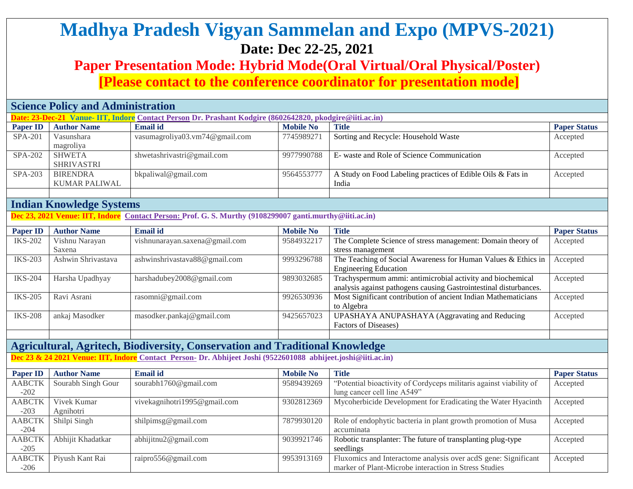# **Madhya Pradesh Vigyan Sammelan and Expo (MPVS-2021) Date: Dec 22-25, 2021**

## **Paper Presentation Mode: Hybrid Mode(Oral Virtual/Oral Physical/Poster)**

**[Please contact to the conference coordinator for presentation mode]**

|                 | <b>Science Policy and Administration</b> |                                                                                                          |                  |                                                             |                     |  |  |  |
|-----------------|------------------------------------------|----------------------------------------------------------------------------------------------------------|------------------|-------------------------------------------------------------|---------------------|--|--|--|
|                 |                                          | Date: 23-Dec-21 Vanue- IIT, Indore Contact Person Dr. Prashant Kodgire (8602642820, pkodgire@itti.ac.in) |                  |                                                             |                     |  |  |  |
| <b>Paper ID</b> | <b>Author Name</b>                       | <b>Email id</b>                                                                                          | <b>Mobile No</b> | <b>Title</b>                                                | <b>Paper Status</b> |  |  |  |
| $SPA-201$       | Vasunshara                               | vasumagroliya03.vm74@gmail.com                                                                           | 7745989271       | Sorting and Recycle: Household Waste                        | Accepted            |  |  |  |
|                 | magroliya                                |                                                                                                          |                  |                                                             |                     |  |  |  |
| $SPA-202$       | <b>SHWETA</b>                            | shwetashrivastri@gmail.com                                                                               | 9977990788       | E- waste and Role of Science Communication                  | Accepted            |  |  |  |
|                 | <b>SHRIVASTRI</b>                        |                                                                                                          |                  |                                                             |                     |  |  |  |
| SPA-203         | <b>BIRENDRA</b>                          | bkpaliwal@gmail.com                                                                                      | 9564553777       | A Study on Food Labeling practices of Edible Oils & Fats in | Accepted            |  |  |  |
|                 | KUMAR PALIWAL                            |                                                                                                          |                  | India                                                       |                     |  |  |  |
|                 |                                          |                                                                                                          |                  |                                                             |                     |  |  |  |

#### **Indian Knowledge Systems**

**Dec 23, 2021 Venue: IIT, Indore Contact Person: Prof. G. S. Murthy (9108299007 ganti.murthy@iiti.ac.in)**

| <b>Paper ID</b> | <b>Author Name</b> | <b>Email id</b>                | <b>Mobile No</b> | Title                                                             | <b>Paper Status</b> |
|-----------------|--------------------|--------------------------------|------------------|-------------------------------------------------------------------|---------------------|
| <b>IKS-202</b>  | Vishnu Narayan     | vishnunarayan.saxena@gmail.com | 9584932217       | The Complete Science of stress management: Domain theory of       | Accepted            |
|                 | Saxena             |                                |                  | stress management                                                 |                     |
| <b>IKS-203</b>  | Ashwin Shrivastava | ashwinshrivastava88@gmail.com  | 9993296788       | The Teaching of Social Awareness for Human Values & Ethics in     | Accepted            |
|                 |                    |                                |                  | <b>Engineering Education</b>                                      |                     |
| <b>IKS-204</b>  | Harsha Upadhyay    | harshadubey2008@gmail.com      | 9893032685       | Trachyspermum ammi: antimicrobial activity and biochemical        | Accepted            |
|                 |                    |                                |                  | analysis against pathogens causing Gastrointestinal disturbances. |                     |
| <b>IKS-205</b>  | Ravi Asrani        | rasomni@gmail.com              | 9926530936       | Most Significant contribution of ancient Indian Mathematicians    | Accepted            |
|                 |                    |                                |                  | to Algebra                                                        |                     |
| <b>IKS-208</b>  | ankaj Masodker     | masodker.pankaj@gmail.com      | 9425657023       | UPASHAYA ANUPASHAYA (Aggravating and Reducing                     | Accepted            |
|                 |                    |                                |                  | Factors of Diseases)                                              |                     |
|                 |                    |                                |                  |                                                                   |                     |

### **Agricultural, Agritech, Biodiversity, Conservation and Traditional Knowledge**

**Dec 23 & 24 2021 Venue: IIT, Indore Contact Person- Dr. Abhijeet Joshi (9522601088 abhijeet.joshi@iiti.ac.in)**

| <b>Paper ID</b> | <b>Author Name</b> | <b>Email id</b>              | <b>Mobile No</b> | <b>Title</b>                                                       | <b>Paper Status</b> |
|-----------------|--------------------|------------------------------|------------------|--------------------------------------------------------------------|---------------------|
| <b>AABCTK</b>   | Sourabh Singh Gour | sourabh1760@gmail.com        | 9589439269       | "Potential bioactivity of Cordyceps militaris against viability of | Accepted            |
| $-202$          |                    |                              |                  | lung cancer cell line A549"                                        |                     |
| <b>AABCTK</b>   | Vivek Kumar        | vivekagnihotri1995@gmail.com | 9302812369       | Mycoherbicide Development for Eradicating the Water Hyacinth       | Accepted            |
| $-203$          | Agnihotri          |                              |                  |                                                                    |                     |
| <b>AABCTK</b>   | Shilpi Singh       | shilpimsg@gmail.com          | 7879930120       | Role of endophytic bacteria in plant growth promotion of Musa      | Accepted            |
| $-204$          |                    |                              |                  | accuminata                                                         |                     |
| <b>AABCTK</b>   | Abhijit Khadatkar  | abhijitnu2@gmail.com         | 9039921746       | Robotic transplanter: The future of transplanting plug-type        | Accepted            |
| $-205$          |                    |                              |                  | seedlings                                                          |                     |
| <b>AABCTK</b>   | Piyush Kant Rai    | raipro556@gmail.com          | 9953913169       | Fluxomics and Interactome analysis over acdS gene: Significant     | Accepted            |
| $-206$          |                    |                              |                  | marker of Plant-Microbe interaction in Stress Studies              |                     |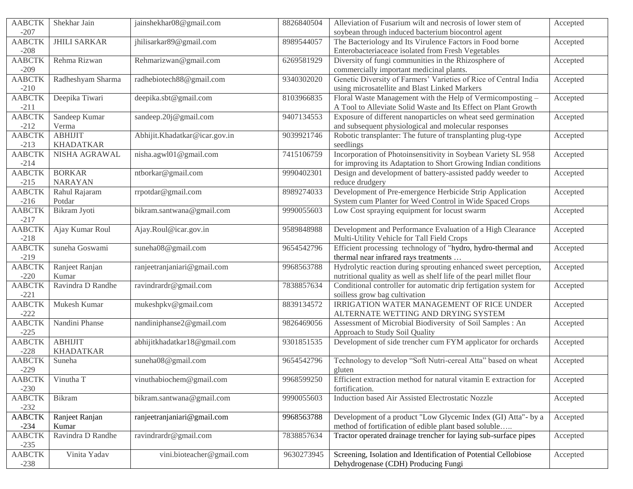| <b>AABCTK</b> | Shekhar Jain        | jainshekhar08@gmail.com       | 8826840504 | Alleviation of Fusarium wilt and necrosis of lower stem of          | Accepted |
|---------------|---------------------|-------------------------------|------------|---------------------------------------------------------------------|----------|
| $-207$        |                     |                               |            | soybean through induced bacterium biocontrol agent                  |          |
| <b>AABCTK</b> | <b>JHILI SARKAR</b> | jhilisarkar89@gmail.com       | 8989544057 | The Bacteriology and Its Virulence Factors in Food borne            | Accepted |
| $-208$        |                     |                               |            | Enterobacteriaceace isolated from Fresh Vegetables                  |          |
| <b>AABCTK</b> | Rehma Rizwan        | Rehmarizwan@gmail.com         | 6269581929 | Diversity of fungi communities in the Rhizosphere of                | Accepted |
| $-209$        |                     |                               |            | commercially important medicinal plants.                            |          |
| <b>AABCTK</b> | Radheshyam Sharma   | radhebiotech88@gmail.com      | 9340302020 | Genetic Diversity of Farmers' Varieties of Rice of Central India    | Accepted |
| $-210$        |                     |                               |            | using microsatellite and Blast Linked Markers                       |          |
| <b>AABCTK</b> | Deepika Tiwari      | deepika.sbt@gmail.com         | 8103966835 | Floral Waste Management with the Help of Vermicomposting -          | Accepted |
| $-211$        |                     |                               |            | A Tool to Alleviate Solid Waste and Its Effect on Plant Growth      |          |
| <b>AABCTK</b> | Sandeep Kumar       | sandeep.20j@gmail.com         | 9407134553 | Exposure of different nanoparticles on wheat seed germination       | Accepted |
| $-212$        | Verma               |                               |            | and subsequent physiological and molecular responses                |          |
| <b>AABCTK</b> | <b>ABHIJIT</b>      | Abhijit.Khadatkar@icar.gov.in | 9039921746 | Robotic transplanter: The future of transplanting plug-type         | Accepted |
| $-213$        | <b>KHADATKAR</b>    |                               |            | seedlings                                                           |          |
| <b>AABCTK</b> | NISHA AGRAWAL       | nisha.agwl01@gmail.com        | 7415106759 | Incorporation of Photoinsensitivity in Soybean Variety SL 958       |          |
|               |                     |                               |            |                                                                     | Accepted |
| $-214$        |                     |                               |            | for improving its Adaptation to Short Growing Indian conditions     |          |
| <b>AABCTK</b> | <b>BORKAR</b>       | ntborkar@gmail.com            | 9990402301 | Design and development of battery-assisted paddy weeder to          | Accepted |
| $-215$        | <b>NARAYAN</b>      |                               |            | reduce drudgery                                                     |          |
| <b>AABCTK</b> | Rahul Rajaram       | rrpotdar@gmail.com            | 8989274033 | Development of Pre-emergence Herbicide Strip Application            | Accepted |
| $-216$        | Potdar              |                               |            | System cum Planter for Weed Control in Wide Spaced Crops            |          |
| <b>AABCTK</b> | Bikram Jyoti        | bikram.santwana@gmail.com     | 9990055603 | Low Cost spraying equipment for locust swarm                        | Accepted |
| $-217$        |                     |                               |            |                                                                     |          |
| <b>AABCTK</b> | Ajay Kumar Roul     | Ajay.Roul@icar.gov.in         | 9589848988 | Development and Performance Evaluation of a High Clearance          | Accepted |
| $-218$        |                     |                               |            | Multi-Utility Vehicle for Tall Field Crops                          |          |
| <b>AABCTK</b> | suneha Goswami      | suneha08@gmail.com            | 9654542796 | Efficient processing technology of "hydro, hydro-thermal and        | Accepted |
| $-219$        |                     |                               |            | thermal near infrared rays treatments                               |          |
| <b>AABCTK</b> | Ranjeet Ranjan      | ranjeetranjaniari@gmail.com   | 9968563788 | Hydrolytic reaction during sprouting enhanced sweet perception,     | Accepted |
| $-220$        | Kumar               |                               |            | nutritional quality as well as shelf life of the pearl millet flour |          |
| <b>AABCTK</b> | Ravindra D Randhe   | ravindrardr@gmail.com         | 7838857634 | Conditional controller for automatic drip fertigation system for    | Accepted |
| $-221$        |                     |                               |            | soilless grow bag cultivation                                       |          |
| <b>AABCTK</b> | Mukesh Kumar        | mukeshpkv@gmail.com           | 8839134572 | IRRIGATION WATER MANAGEMENT OF RICE UNDER                           | Accepted |
| $-222$        |                     |                               |            | ALTERNATE WETTING AND DRYING SYSTEM                                 |          |
| <b>AABCTK</b> | Nandini Phanse      | nandiniphanse2@gmail.com      | 9826469056 | Assessment of Microbial Biodiversity of Soil Samples : An           | Accepted |
| $-225$        |                     |                               |            | Approach to Study Soil Quality                                      |          |
| <b>AABCTK</b> | <b>ABHIJIT</b>      | abhijitkhadatkar18@gmail.com  | 9301851535 | Development of side trencher cum FYM applicator for orchards        | Accepted |
| $-228$        | <b>KHADATKAR</b>    |                               |            |                                                                     |          |
| <b>AABCTK</b> | Suneha              | suneha08@gmail.com            | 9654542796 | Technology to develop "Soft Nutri-cereal Atta" based on wheat       | Accepted |
| $-229$        |                     |                               |            | gluten                                                              |          |
| <b>AABCTK</b> | Vinutha T           |                               | 9968599250 | Efficient extraction method for natural vitamin E extraction for    |          |
|               |                     | vinuthabiochem@gmail.com      |            |                                                                     | Accepted |
| $-230$        |                     |                               |            | fortification.                                                      |          |
| <b>AABCTK</b> | Bikram              | bikram.santwana@gmail.com     | 9990055603 | Induction based Air Assisted Electrostatic Nozzle                   | Accepted |
| $-232$        |                     |                               |            |                                                                     |          |
| <b>AABCTK</b> | Ranjeet Ranjan      | ranjeetranjaniari@gmail.com   | 9968563788 | Development of a product "Low Glycemic Index (GI) Atta"- by a       | Accepted |
| $-234$        | Kumar               |                               |            | method of fortification of edible plant based soluble               |          |
| <b>AABCTK</b> | Ravindra D Randhe   | ravindrardr@gmail.com         | 7838857634 | Tractor operated drainage trencher for laying sub-surface pipes     | Accepted |
| $-235$        |                     |                               |            |                                                                     |          |
| <b>AABCTK</b> | Vinita Yadav        | vini.bioteacher@gmail.com     | 9630273945 | Screening, Isolation and Identification of Potential Cellobiose     | Accepted |
| $-238$        |                     |                               |            | Dehydrogenase (CDH) Producing Fungi                                 |          |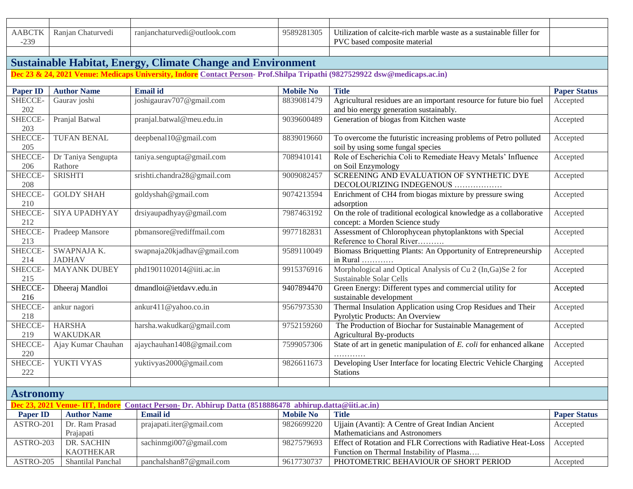| ABCTF<br>230<br>. ب ب | <sup>n</sup><br>haturvedi:<br>Ranja <sup>r</sup> | ranjanchaturvedi@outlook.com | 0.201205<br>9589<br>- 305 | usustainable filler for<br>$\mathbf{v}$ , $\mathbf{v}$ , $\mathbf{v}$<br>e marble waste as a<br>Utilization of<br>calcite-rich<br>PVC<br>osite material<br>based compos |  |
|-----------------------|--------------------------------------------------|------------------------------|---------------------------|-------------------------------------------------------------------------------------------------------------------------------------------------------------------------|--|
|                       |                                                  |                              |                           |                                                                                                                                                                         |  |

#### **Sustainable Habitat, Energy, Climate Change and Environment**

**Dec 23 & 24, 2021 Venue: Medicaps University, Indore Contact Person- Prof.Shilpa Tripathi (9827529922 dsw@medicaps.ac.in)**

| <b>Paper ID</b>                | <b>Author Name</b>  | <b>Email</b> id                                                                                         | <b>Mobile No</b> | <b>Title</b>                                                                                                  | <b>Paper Status</b> |
|--------------------------------|---------------------|---------------------------------------------------------------------------------------------------------|------------------|---------------------------------------------------------------------------------------------------------------|---------------------|
| SHECCE-                        |                     | joshigaurav707@gmail.com                                                                                | 8839081479       |                                                                                                               |                     |
| 202                            | Gaurav joshi        |                                                                                                         |                  | Agricultural residues are an important resource for future bio fuel<br>and bio energy generation sustainably. | Accepted            |
| SHECCE-                        | Pranjal Batwal      | pranjal.batwal@meu.edu.in                                                                               | 9039600489       | Generation of biogas from Kitchen waste                                                                       | Accepted            |
| 203                            |                     |                                                                                                         |                  |                                                                                                               |                     |
| SHECCE-<br>205                 | <b>TUFAN BENAL</b>  | deepbenal10@gmail.com                                                                                   | 8839019660       | To overcome the futuristic increasing problems of Petro polluted<br>soil by using some fungal species         | Accepted            |
| <b>SHECCE-</b>                 | Dr Taniya Sengupta  | taniya.sengupta@gmail.com                                                                               | 7089410141       | Role of Escherichia Coli to Remediate Heavy Metals' Influence                                                 | Accepted            |
| 206                            | Rathore             |                                                                                                         |                  | on Soil Enzymology                                                                                            |                     |
| SHECCE-                        | <b>SRISHTI</b>      | srishti.chandra28@gmail.com                                                                             | 9009082457       | SCREENING AND EVALUATION OF SYNTHETIC DYE                                                                     |                     |
| 208                            |                     |                                                                                                         |                  | DECOLOURIZING INDEGENOUS                                                                                      | Accepted            |
| SHECCE-                        | <b>GOLDY SHAH</b>   | goldyshah@gmail.com                                                                                     | 9074213594       | Enrichment of CH4 from biogas mixture by pressure swing                                                       | Accepted            |
| 210                            |                     |                                                                                                         |                  | adsorption                                                                                                    |                     |
| SHECCE-                        | SIYA UPADHYAY       | drsiyaupadhyay@gmail.com                                                                                | 7987463192       | On the role of traditional ecological knowledge as a collaborative                                            | Accepted            |
| 212                            |                     |                                                                                                         |                  | concept: a Morden Science study                                                                               |                     |
| SHECCE-                        | Pradeep Mansore     | pbmansore@rediffmail.com                                                                                | 9977182831       | Assessment of Chlorophycean phytoplanktons with Special                                                       | Accepted            |
| $213\,$                        |                     |                                                                                                         |                  | Reference to Choral River                                                                                     |                     |
| SHECCE-                        | SWAPNAJA K.         | swapnaja20kjadhav@gmail.com                                                                             | 9589110049       | Biomass Briquetting Plants: An Opportunity of Entrepreneurship                                                | Accepted            |
| 214                            | <b>JADHAV</b>       |                                                                                                         |                  | in Rural                                                                                                      |                     |
| SHECCE-                        | <b>MAYANK DUBEY</b> | phd1901102014@iiti.ac.in                                                                                | 9915376916       | Morphological and Optical Analysis of Cu 2 (In, Ga)Se 2 for                                                   | Accepted            |
| 215                            |                     |                                                                                                         |                  | Sustainable Solar Cells                                                                                       |                     |
| SHECCE-                        | Dheeraj Mandloi     | dmandloi@ietdavv.edu.in                                                                                 | 9407894470       | Green Energy: Different types and commercial utility for                                                      | Accepted            |
| 216                            |                     |                                                                                                         |                  | sustainable development                                                                                       |                     |
| SHECCE-                        | ankur nagori        | ankur411@yahoo.co.in                                                                                    | 9567973530       | Thermal Insulation Application using Crop Residues and Their                                                  | Accepted            |
| 218                            |                     |                                                                                                         |                  | Pyrolytic Products: An Overview                                                                               |                     |
| SHECCE-                        | <b>HARSHA</b>       | harsha.wakudkar@gmail.com                                                                               | 9752159260       | The Production of Biochar for Sustainable Management of                                                       | Accepted            |
| 219                            | <b>WAKUDKAR</b>     |                                                                                                         |                  | <b>Agricultural By-products</b>                                                                               |                     |
| SHECCE-                        | Ajay Kumar Chauhan  | ajaychauhan1408@gmail.com                                                                               | 7599057306       | State of art in genetic manipulation of E. coli for enhanced alkane                                           | Accepted            |
| 220                            |                     |                                                                                                         |                  |                                                                                                               |                     |
| SHECCE-                        | YUKTI VYAS          | yuktivyas2000@gmail.com                                                                                 | 9826611673       | Developing User Interface for locating Electric Vehicle Charging                                              | Accepted            |
| 222                            |                     |                                                                                                         |                  | <b>Stations</b>                                                                                               |                     |
|                                |                     |                                                                                                         |                  |                                                                                                               |                     |
| <b>Astronomy</b>               |                     |                                                                                                         |                  |                                                                                                               |                     |
|                                |                     | Dec 23, 2021 Venue- IIT, Indore Contact Person- Dr. Abhirup Datta (8518886478 abhirup.datta@iiti.ac.in) |                  |                                                                                                               |                     |
| <b>Paper ID</b>                | <b>Author Name</b>  | Email id                                                                                                | <b>Mobile No</b> | <b>Title</b>                                                                                                  | <b>Paper Status</b> |
| ASTRO-201                      | Dr. Ram Prasad      | prajapati.iter@gmail.com                                                                                | 9826699220       | Ujjain (Avanti): A Centre of Great Indian Ancient                                                             | Accepted            |
|                                | Prajapati           |                                                                                                         |                  | Mathematicians and Astronomers                                                                                |                     |
| ASTRO-203                      | DR. SACHIN          | sachinmgi007@gmail.com                                                                                  | 9827579693       | Effect of Rotation and FLR Corrections with Radiative Heat-Loss                                               | Accepted            |
|                                | <b>KAOTHEKAR</b>    |                                                                                                         |                  | Function on Thermal Instability of Plasma                                                                     |                     |
| ASTRO-205<br>Shantilal Panchal |                     | panchalshan87@gmail.com                                                                                 | 9617730737       | PHOTOMETRIC BEHAVIOUR OF SHORT PERIOD                                                                         | Accepted            |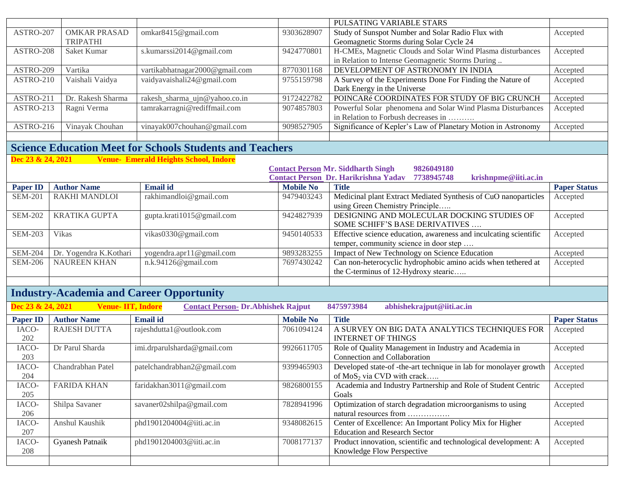|                   |                          |                                                                 |                  | PULSATING VARIABLE STARS                                                          |                     |
|-------------------|--------------------------|-----------------------------------------------------------------|------------------|-----------------------------------------------------------------------------------|---------------------|
| ASTRO-207         | <b>OMKAR PRASAD</b>      | omkar8415@gmail.com                                             | 9303628907       | Study of Sunspot Number and Solar Radio Flux with                                 | Accepted            |
|                   | <b>TRIPATHI</b>          |                                                                 |                  | Geomagnetic Storms during Solar Cycle 24                                          |                     |
| ASTRO-208         | Saket Kumar              | s.kumarssi2014@gmail.com                                        | 9424770801       | H-CMEs, Magnetic Clouds and Solar Wind Plasma disturbances                        | Accepted            |
|                   |                          |                                                                 |                  | in Relation to Intense Geomagnetic Storms During                                  |                     |
| ASTRO-209         | Vartika                  | vartikabhatnagar2000@gmail.com                                  | 8770301168       | DEVELOPMENT OF ASTRONOMY IN INDIA                                                 | Accepted            |
| ASTRO-210         | Vaishali Vaidya          | vaidyavaishali24@gmail.com                                      | 9755159798       | A Survey of the Experiments Done For Finding the Nature of                        | Accepted            |
|                   |                          |                                                                 |                  | Dark Energy in the Universe                                                       |                     |
| ASTRO-211         | Dr. Rakesh Sharma        | rakesh_sharma_ujn@yahoo.co.in                                   | 9172422782       | POINCARé COORDINATES FOR STUDY OF BIG CRUNCH                                      | Accepted            |
| ASTRO-213         | Ragni Verma              | tamrakarragni@rediffmail.com                                    | 9074857803       | Powerful Solar phenomena and Solar Wind Plasma Disturbances                       | Accepted            |
|                   |                          |                                                                 |                  | in Relation to Forbush decreases in                                               |                     |
| ASTRO-216         | Vinayak Chouhan          | vinayak007chouhan@gmail.com                                     | 9098527905       | Significance of Kepler's Law of Planetary Motion in Astronomy                     | Accepted            |
|                   |                          |                                                                 |                  |                                                                                   |                     |
|                   |                          | <b>Science Education Meet for Schools Students and Teachers</b> |                  |                                                                                   |                     |
| Dec 23 & 24, 2021 |                          | <b>Venue- Emerald Heights School, Indore</b>                    |                  |                                                                                   |                     |
|                   |                          |                                                                 |                  | <b>Contact Person Mr. Siddharth Singh</b><br>9826049180                           |                     |
|                   |                          |                                                                 |                  | <b>Contact Person Dr. Harikrishna Yadav</b><br>7738945748<br>krishnpme@iiti.ac.in |                     |
| <b>Paper ID</b>   | <b>Author Name</b>       | <b>Email id</b>                                                 | <b>Mobile No</b> | <b>Title</b>                                                                      | <b>Paper Status</b> |
| <b>SEM-201</b>    | RAKHI MANDLOI            | rakhimandloi@gmail.com                                          | 9479403243       | Medicinal plant Extract Mediated Synthesis of CuO nanoparticles                   | Accepted            |
|                   |                          |                                                                 |                  | using Green Chemistry Principle                                                   |                     |
| <b>SEM-202</b>    | <b>KRATIKA GUPTA</b>     | gupta.krati1015@gmail.com                                       | 9424827939       | DESIGNING AND MOLECULAR DOCKING STUDIES OF                                        | Accepted            |
|                   |                          |                                                                 |                  | SOME SCHIFF'S BASE DERIVATIVES                                                    |                     |
| <b>SEM-203</b>    | Vikas                    | vikas0330@gmail.com                                             | 9450140533       | Effective science education, awareness and inculcating scientific                 | Accepted            |
|                   |                          |                                                                 |                  | temper, community science in door step                                            |                     |
| <b>SEM-204</b>    | Dr. Yogendra K.Kothari   | yogendra.apr11@gmail.com                                        | 9893283255       | Impact of New Technology on Science Education                                     | Accepted            |
| <b>SEM-206</b>    | <b>NAUREEN KHAN</b>      | n.k.94126@gmail.com                                             | 7697430242       | Can non-heterocyclic hydrophobic amino acids when tethered at                     | Accepted            |
|                   |                          |                                                                 |                  | the C-terminus of 12-Hydroxy stearic                                              |                     |
|                   |                          |                                                                 |                  |                                                                                   |                     |
|                   |                          | <b>Industry-Academia and Career Opportunity</b>                 |                  |                                                                                   |                     |
| Dec 23 & 24, 2021 | <b>Venue-IIT, Indore</b> | <b>Contact Person- Dr. Abhishek Rajput</b>                      |                  | 8475973984<br>abhishekrajput@iiti.ac.in                                           |                     |
| <b>Paper ID</b>   | <b>Author Name</b>       | <b>Email id</b>                                                 | <b>Mobile No</b> | <b>Title</b>                                                                      | <b>Paper Status</b> |
| IACO-             | <b>RAJESH DUTTA</b>      | rajeshdutta1@outlook.com                                        | 7061094124       | A SURVEY ON BIG DATA ANALYTICS TECHNIQUES FOR                                     | Accepted            |
| 202               |                          |                                                                 |                  | <b>INTERNET OF THINGS</b>                                                         |                     |
| IACO-             | Dr Parul Sharda          | imi.drparulsharda@gmail.com                                     | 9926611705       | Role of Quality Management in Industry and Academia in                            | Accepted            |
| 203               |                          |                                                                 |                  | Connection and Collaboration                                                      |                     |
| IACO-             | Chandrabhan Patel        | patelchandrabhan2@gmail.com                                     | 9399465903       | Developed state-of-the-art technique in lab for monolayer growth                  | Accepted            |
| 204               |                          |                                                                 |                  | of $MoS_2$ via CVD with crack                                                     |                     |
| IACO-             | <b>FARIDA KHAN</b>       | faridakhan3011@gmail.com                                        | 9826800155       | Academia and Industry Partnership and Role of Student Centric                     | Accepted            |
| 205               |                          |                                                                 |                  | Goals                                                                             |                     |
| IACO-             | Shilpa Savaner           | savaner02shilpa@gmail.com                                       | 7828941996       | Optimization of starch degradation microorganisms to using                        | Accepted            |
| 206               |                          |                                                                 |                  | natural resources from                                                            |                     |
| IACO-             | Anshul Kaushik           | phd1901204004@iiti.ac.in                                        | 9348082615       | Center of Excellence: An Important Policy Mix for Higher                          | Accepted            |
| 207               |                          |                                                                 |                  | <b>Education and Research Sector</b>                                              |                     |
| IACO-             | <b>Gyanesh Patnaik</b>   | phd1901204003@iiti.ac.in                                        | 7008177137       | Product innovation, scientific and technological development: A                   | Accepted            |
| 208               |                          |                                                                 |                  | Knowledge Flow Perspective                                                        |                     |
|                   |                          |                                                                 |                  |                                                                                   |                     |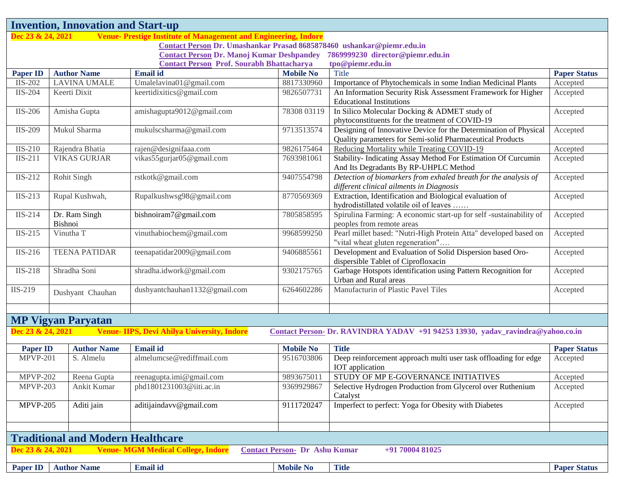| <b>Invention, Innovation and Start-up</b>                                            |                               |                    |                                                                       |                                      |                                                                                                                               |                     |  |
|--------------------------------------------------------------------------------------|-------------------------------|--------------------|-----------------------------------------------------------------------|--------------------------------------|-------------------------------------------------------------------------------------------------------------------------------|---------------------|--|
| Dec 23 & 24, 2021                                                                    |                               |                    | Venue-Prestige Institute of Management and Engineering, Indore        |                                      |                                                                                                                               |                     |  |
|                                                                                      |                               |                    | Contact Person Dr. Umashankar Prasad 8685878460 ushankar@piemr.edu.in |                                      |                                                                                                                               |                     |  |
| 7869999230 director@piemr.edu.in<br><b>Contact Person Dr. Manoj Kumar Deshpandey</b> |                               |                    |                                                                       |                                      |                                                                                                                               |                     |  |
|                                                                                      |                               |                    | <b>Contact Person Prof. Sourabh Bhattacharya</b>                      |                                      | tpo@piemr.edu.in                                                                                                              |                     |  |
| <b>Paper ID</b>                                                                      | <b>Author Name</b>            |                    | <b>Email</b> id                                                       | <b>Mobile No</b>                     | Title                                                                                                                         | <b>Paper Status</b> |  |
| $\overline{I}$ IS-202                                                                | <b>LAVINA UMALE</b>           |                    | Umalelavina01@gmail.com                                               | 8817330960                           | Importance of Phytochemicals in some Indian Medicinal Plants                                                                  | Accepted            |  |
| <b>IIS-204</b>                                                                       | Keerti Dixit                  |                    | keertidixitics@gmail.com                                              | 9826507731                           | An Information Security Risk Assessment Framework for Higher<br><b>Educational Institutions</b>                               | Accepted            |  |
| <b>IIS-206</b>                                                                       | Amisha Gupta                  |                    | amishagupta9012@gmail.com                                             | 78308 03119                          | In Silico Molecular Docking & ADMET study of<br>phytoconstituents for the treatment of COVID-19                               | Accepted            |  |
| IIS-209                                                                              | Mukul Sharma                  |                    | mukulscsharma@gmail.com                                               | 9713513574                           | Designing of Innovative Device for the Determination of Physical<br>Quality parameters for Semi-solid Pharmaceutical Products | Accepted            |  |
| $IIS-210$                                                                            | Rajendra Bhatia               |                    | rajen@designifaaa.com                                                 | 9826175464                           | Reducing Mortality while Treating COVID-19                                                                                    | Accepted            |  |
| $IIS-211$                                                                            | <b>VIKAS GURJAR</b>           |                    | vikas55gurjar05@gmail.com                                             | 7693981061                           | Stability- Indicating Assay Method For Estimation Of Curcumin<br>And Its Degradants By RP-UHPLC Method                        | Accepted            |  |
| IIS-212                                                                              | Rohit Singh                   |                    | rstkotk@gmail.com                                                     | 9407554798                           | Detection of biomarkers from exhaled breath for the analysis of<br>different clinical ailments in Diagnosis                   | Accepted            |  |
| IIS-213                                                                              | Rupal Kushwah,                |                    | Rupalkushwsg98@gmail.com                                              | 8770569369                           | Extraction, Identification and Biological evaluation of<br>hydrodistillated volatile oil of leaves                            | Accepted            |  |
| <b>IIS-214</b>                                                                       | Dr. Ram Singh<br>Bishnoi      |                    | bishnoiram7@gmail.com                                                 | 7805858595                           | Spirulina Farming: A economic start-up for self -sustainability of<br>peoples from remote areas                               | Accepted            |  |
| $IIS-215$                                                                            | Vinutha T                     |                    | vinuthabiochem@gmail.com                                              | 9968599250                           | Pearl millet based: "Nutri-High Protein Atta" developed based on<br>"vital wheat gluten regeneration"                         | Accepted            |  |
| IIS-216                                                                              | <b>TEENA PATIDAR</b>          |                    | teenapatidar2009@gmail.com                                            | 9406885561                           | Development and Evaluation of Solid Dispersion based Oro-<br>dispersible Tablet of Ciprofloxacin                              | Accepted            |  |
| <b>IIS-218</b>                                                                       | Shradha Soni                  |                    | shradha.idwork@gmail.com                                              | 9302175765                           | Garbage Hotspots identification using Pattern Recognition for<br>Urban and Rural areas                                        | Accepted            |  |
| IIS-219                                                                              | Dushyant Chauhan              |                    | dushyantchauhan1132@gmail.com                                         | 6264602286                           | Manufacturin of Plastic Pavel Tiles                                                                                           | Accepted            |  |
| <b>MP Vigyan Paryatan</b>                                                            |                               |                    |                                                                       |                                      |                                                                                                                               |                     |  |
| Dec 23 & 24, 2021                                                                    |                               |                    | <b>Venue-IIPS, Devi Ahilya University, Indore</b>                     |                                      | Contact Person- Dr. RAVINDRA YADAV +91 94253 13930, yadav_ravindra@yahoo.co.in                                                |                     |  |
| <b>Paper ID</b>                                                                      |                               | <b>Author Name</b> | <b>Email</b> id                                                       | <b>Mobile No</b>                     | <b>Title</b>                                                                                                                  | <b>Paper Status</b> |  |
| <b>MPVP-201</b>                                                                      |                               | S. Almelu          | almelumcse@rediffmail.com                                             | 9516703806                           | Deep reinforcement approach multi user task offloading for edge<br>IOT application                                            | Accepted            |  |
| <b>MPVP-202</b>                                                                      |                               | Reena Gupta        | reenagupta.imi@gmail.com                                              | 9893675011                           | STUDY OF MP E-GOVERNANCE INITIATIVES                                                                                          | Accepted            |  |
| <b>MPVP-203</b>                                                                      | Ankit Kumar                   |                    | phd1801231003@iiti.ac.in                                              | 9369929867                           | Selective Hydrogen Production from Glycerol over Ruthenium<br>Catalyst                                                        | Accepted            |  |
|                                                                                      | <b>MPVP-205</b><br>Aditi jain |                    | aditijaindavv@gmail.com                                               | 9111720247                           | Imperfect to perfect: Yoga for Obesity with Diabetes                                                                          | Accepted            |  |
|                                                                                      |                               |                    |                                                                       |                                      |                                                                                                                               |                     |  |
|                                                                                      |                               |                    | <b>Traditional and Modern Healthcare</b>                              |                                      |                                                                                                                               |                     |  |
| Dec 23 & 24, 2021                                                                    |                               |                    | <b>Venue- MGM Medical College, Indore</b>                             | <b>Contact Person- Dr Ashu Kumar</b> | +91 70004 81025                                                                                                               |                     |  |
| <b>Paper ID</b>                                                                      | <b>Author Name</b>            |                    | <b>Email id</b>                                                       | <b>Mobile No</b>                     | <b>Title</b>                                                                                                                  | <b>Paper Status</b> |  |
|                                                                                      |                               |                    |                                                                       |                                      |                                                                                                                               |                     |  |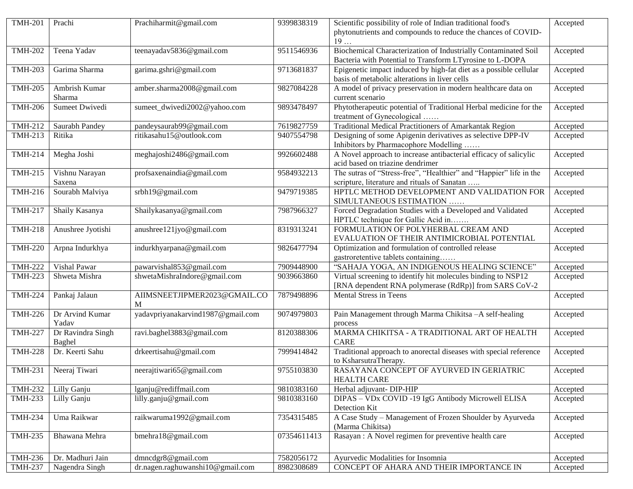| <b>TMH-201</b>               | Prachi            | Prachiharmit@gmail.com            | 9399838319  | Scientific possibility of role of Indian traditional food's        | Accepted |
|------------------------------|-------------------|-----------------------------------|-------------|--------------------------------------------------------------------|----------|
|                              |                   |                                   |             | phytonutrients and compounds to reduce the chances of COVID-       |          |
|                              |                   |                                   |             | 19                                                                 |          |
| <b>TMH-202</b>               | Teena Yadav       | teenayadav5836@gmail.com          | 9511546936  | Biochemical Characterization of Industrially Contaminated Soil     | Accepted |
|                              |                   |                                   |             | Bacteria with Potential to Transform LTyrosine to L-DOPA           |          |
| <b>TMH-203</b>               | Garima Sharma     | garima.gshri@gmail.com            | 9713681837  | Epigenetic impact induced by high-fat diet as a possible cellular  | Accepted |
|                              |                   |                                   |             | basis of metabolic alterations in liver cells                      |          |
| <b>TMH-205</b>               | Ambrish Kumar     | amber.sharma2008@gmail.com        | 9827084228  | A model of privacy preservation in modern healthcare data on       | Accepted |
|                              | Sharma            |                                   |             | current scenario                                                   |          |
| <b>TMH-206</b>               | Sumeet Dwivedi    | sumeet_dwivedi2002@yahoo.com      | 9893478497  | Phytotherapeutic potential of Traditional Herbal medicine for the  | Accepted |
|                              |                   |                                   |             | treatment of Gynecological                                         |          |
| <b>TMH-212</b>               | Saurabh Pandey    | pandeysaurab99@gmail.com          | 7619827759  | Traditional Medical Practitioners of Amarkantak Region             | Accepted |
| <b>TMH-213</b>               | Ritika            | ritikasahu15@outlook.com          | 9407554798  | Designing of some Apigenin derivatives as selective DPP-IV         |          |
|                              |                   |                                   |             |                                                                    | Accepted |
|                              |                   |                                   |             | Inhibitors by Pharmacophore Modelling                              |          |
| $\overline{\text{TMH-214}}$  | Megha Joshi       | meghajoshi2486@gmail.com          | 9926602488  | A Novel approach to increase antibacterial efficacy of salicylic   | Accepted |
|                              |                   |                                   |             | acid based on triazine dendrimer                                   |          |
| <b>TMH-215</b>               | Vishnu Narayan    | profsaxenaindia@gmail.com         | 9584932213  | The sutras of "Stress-free", "Healthier" and "Happier" life in the | Accepted |
|                              | Saxena            |                                   |             | scripture, literature and rituals of Sanatan                       |          |
| <b>TMH-216</b>               | Sourabh Malviya   | srbh19@gmail.com                  | 9479719385  | HPTLC METHOD DEVELOPMENT AND VALIDATION FOR                        | Accepted |
|                              |                   |                                   |             | SIMULTANEOUS ESTIMATION                                            |          |
| <b>TMH-217</b>               | Shaily Kasanya    | Shailykasanya@gmail.com           | 7987966327  | Forced Degradation Studies with a Developed and Validated          | Accepted |
|                              |                   |                                   |             | HPTLC technique for Gallic Acid in                                 |          |
| <b>TMH-218</b>               | Anushree Jyotishi | anushree121jyo@gmail.com          | 8319313241  | FORMULATION OF POLYHERBAL CREAM AND                                | Accepted |
|                              |                   |                                   |             | EVALUATION OF THEIR ANTIMICROBIAL POTENTIAL                        |          |
| <b>TMH-220</b>               | Arpna Indurkhya   | indurkhyarpana@gmail.com          | 9826477794  | Optimization and formulation of controlled release                 | Accepted |
|                              |                   |                                   |             | gastroretentive tablets containing                                 |          |
| <b>TMH-222</b>               | Vishal Pawar      | pawarvishal853@gmail.com          | 7909448900  | "SAHAJA YOGA, AN INDIGENOUS HEALING SCIENCE"                       | Accepted |
| <b>TMH-223</b>               | Shweta Mishra     | shwetaMishraIndore@gmail.com      | 9039663860  | Virtual screening to identify hit molecules binding to NSP12       | Accepted |
|                              |                   |                                   |             | [RNA dependent RNA polymerase (RdRp)] from SARS CoV-2              |          |
| <b>TMH-224</b>               | Pankaj Jalaun     | AIIMSNEETJIPMER2023@GMAIL.CO      | 7879498896  | Mental Stress in Teens                                             | Accepted |
|                              |                   | M                                 |             |                                                                    |          |
| $\overline{\text{TMH-2}}$ 26 | Dr Arvind Kumar   | yadavpriyanakarvind1987@gmail.com | 9074979803  | Pain Management through Marma Chikitsa -A self-healing             | Accepted |
|                              | Yadav             |                                   |             | process                                                            |          |
| <b>TMH-227</b>               | Dr Ravindra Singh | ravi.baghel3883@gmail.com         | 8120388306  | MARMA CHIKITSA - A TRADITIONAL ART OF HEALTH                       | Accepted |
|                              | Baghel            |                                   |             | <b>CARE</b>                                                        |          |
| <b>TMH-228</b>               | Dr. Keerti Sahu   | drkeertisahu@gmail.com            | 7999414842  | Traditional approach to anorectal diseases with special reference  | Accepted |
|                              |                   |                                   |             | to KsharsutraTherapy.                                              |          |
| $\overline{\text{TMH-231}}$  | Neeraj Tiwari     | neerajtiwari65@gmail.com          | 9755103830  | RASAYANA CONCEPT OF AYURVED IN GERIATRIC                           | Accepted |
|                              |                   |                                   |             | <b>HEALTH CARE</b>                                                 |          |
|                              |                   |                                   |             |                                                                    |          |
| <b>TMH-232</b>               | Lilly Ganju       | lganju@rediffmail.com             | 9810383160  | Herbal adjuvant- DIP-HIP                                           | Accepted |
| <b>TMH-233</b>               | Lilly Ganju       | lilly.ganju@gmail.com             | 9810383160  | DIPAS - VDx COVID -19 IgG Antibody Microwell ELISA                 | Accepted |
|                              |                   |                                   |             | Detection Kit                                                      |          |
| <b>TMH-234</b>               | Uma Raikwar       | raikwaruma1992@gmail.com          | 7354315485  | A Case Study - Management of Frozen Shoulder by Ayurveda           | Accepted |
|                              |                   |                                   |             | (Marma Chikitsa)                                                   |          |
| <b>TMH-235</b>               | Bhawana Mehra     | bmehra18@gmail.com                | 07354611413 | Rasayan : A Novel regimen for preventive health care               | Accepted |
|                              |                   |                                   |             |                                                                    |          |
| <b>TMH-236</b>               | Dr. Madhuri Jain  | dmncdgr8@gmail.com                | 7582056172  | Ayurvedic Modalities for Insomnia                                  | Accepted |
| <b>TMH-237</b>               | Nagendra Singh    | dr.nagen.raghuwanshi10@gmail.com  | 8982308689  | CONCEPT OF AHARA AND THEIR IMPORTANCE IN                           | Accepted |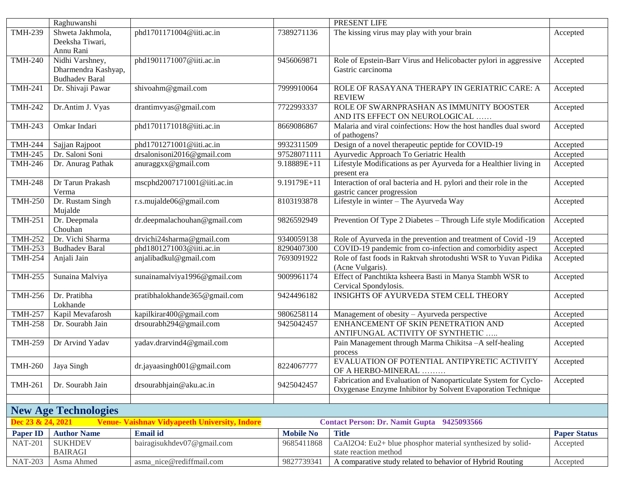| PRESENT LIFE<br>Raghuwanshi                                                                                                                                 |                     |
|-------------------------------------------------------------------------------------------------------------------------------------------------------------|---------------------|
| <b>TMH-239</b><br>phd1701171004@iiti.ac.in<br>7389271136<br>The kissing virus may play with your brain<br>Shweta Jakhmola,                                  | Accepted            |
| Deeksha Tiwari,                                                                                                                                             |                     |
| Annu Rani                                                                                                                                                   |                     |
| <b>TMH-240</b><br>Nidhi Varshney,<br>phd1901171007@iiti.ac.in<br>Role of Epstein-Barr Virus and Helicobacter pylori in aggressive<br>9456069871             | Accepted            |
| Dharmendra Kashyap,<br>Gastric carcinoma                                                                                                                    |                     |
| <b>Budhadev Baral</b>                                                                                                                                       |                     |
| ROLE OF RASAYANA THERAPY IN GERIATRIC CARE: A<br><b>TMH-241</b><br>Dr. Shivaji Pawar<br>shivoahm@gmail.com<br>7999910064                                    | Accepted            |
| <b>REVIEW</b>                                                                                                                                               |                     |
| ROLE OF SWARNPRASHAN AS IMMUNITY BOOSTER<br><b>TMH-242</b><br>Dr.Antim J. Vyas<br>drantimvyas@gmail.com<br>7722993337                                       | Accepted            |
| AND ITS EFFECT ON NEUROLOGICAL                                                                                                                              |                     |
| Omkar Indari<br>phd1701171018@iiti.ac.in<br>Malaria and viral coinfections: How the host handles dual sword<br><b>TMH-243</b><br>8669086867                 | Accepted            |
| of pathogens?                                                                                                                                               |                     |
| <b>TMH-244</b><br>9932311509<br>Design of a novel therapeutic peptide for COVID-19<br>Sajjan Rajpoot<br>phd1701271001@iiti.ac.in                            | Accepted            |
| Dr. Saloni Soni<br>drsalonisoni2016@gmail.com<br>97528071111<br>Ayurvedic Approach To Geriatric Health<br><b>TMH-245</b>                                    | Accepted            |
| Lifestyle Modifications as per Ayurveda for a Healthier living in<br><b>TMH-246</b><br>Dr. Anurag Pathak<br>anuraggxx@gmail.com<br>9.18889E+11              | Accepted            |
| present era                                                                                                                                                 |                     |
| Interaction of oral bacteria and H. pylori and their role in the<br><b>TMH-248</b><br>Dr Tarun Prakash<br>mscphd2007171001@iiti.ac.in<br>9.19179E+11        | Accepted            |
| Verma<br>gastric cancer progression                                                                                                                         |                     |
| Dr. Rustam Singh<br>r.s.mujalde06@gmail.com<br>Lifestyle in winter - The Ayurveda Way<br><b>TMH-250</b><br>8103193878                                       | Accepted            |
| Mujalde                                                                                                                                                     |                     |
| Prevention Of Type 2 Diabetes - Through Life style Modification<br>Dr. Deepmala<br>dr.deepmalachouhan@gmail.com<br><b>TMH-251</b><br>9826592949             | Accepted            |
| Chouhan                                                                                                                                                     |                     |
| <b>TMH-252</b><br>Dr. Vichi Sharma<br>drvichi24sharma@gmail.com<br>9340059138<br>Role of Ayurveda in the prevention and treatment of Covid -19              | Accepted            |
| COVID-19 pandemic from co-infection and comorbidity aspect<br>phd1801271003@iiti.ac.in<br><b>TMH-253</b><br>8290407300<br><b>Budhadev Baral</b>             | Accepted            |
| anjalibadkul@gmail.com<br>Role of fast foods in Raktvah shrotodushti WSR to Yuvan Pidika<br><b>TMH-254</b><br>Anjali Jain<br>7693091922<br>(Acne Vulgaris). | Accepted            |
| sunainamalviya1996@gmail.com<br>Effect of Panchtikta ksheera Basti in Manya Stambh WSR to<br><b>TMH-255</b><br>Sunaina Malviya<br>9009961174                | Accepted            |
| Cervical Spondylosis.                                                                                                                                       |                     |
| INSIGHTS OF AYURVEDA STEM CELL THEORY<br><b>TMH-256</b><br>Dr. Pratibha<br>pratibhalokhande365@gmail.com<br>9424496182                                      | Accepted            |
| Lokhande                                                                                                                                                    |                     |
| kapilkirar400@gmail.com<br><b>TMH-257</b><br>9806258114<br>Management of obesity - Ayurveda perspective<br>Kapil Mevafarosh                                 | Accepted            |
| drsourabh294@gmail.com<br>ENHANCEMENT OF SKIN PENETRATION AND<br><b>TMH-258</b><br>Dr. Sourabh Jain<br>9425042457                                           | Accepted            |
| ANTIFUNGAL ACTIVITY OF SYNTHETIC                                                                                                                            |                     |
| yadav.drarvind4@gmail.com<br>Pain Management through Marma Chikitsa -A self-healing<br><b>TMH-259</b><br>Dr Arvind Yadav                                    | Accepted            |
| process                                                                                                                                                     |                     |
| EVALUATION OF POTENTIAL ANTIPYRETIC ACTIVITY                                                                                                                | Accepted            |
| <b>TMH-260</b><br>dr.jayaasingh001@gmail.com<br>8224067777<br>Jaya Singh<br>OF A HERBO-MINERAL                                                              |                     |
| Fabrication and Evaluation of Nanoparticulate System for Cyclo-<br><b>TMH-261</b><br>Dr. Sourabh Jain<br>drsourabhjain@aku.ac.in<br>9425042457              | Accepted            |
| Oxygenase Enzyme Inhibitor by Solvent Evaporation Technique                                                                                                 |                     |
|                                                                                                                                                             |                     |
| <b>New Age Technologies</b>                                                                                                                                 |                     |
| ec 23 & 24, 2021<br><b>Venue- Vaishnav Vidyapeeth University, Indore</b><br><b>Contact Person: Dr. Namit Gupta</b><br>9425093566                            |                     |
| Email id<br><b>Author Name</b><br><b>Mobile No</b><br><b>Title</b><br><b>Paper ID</b>                                                                       | <b>Paper Status</b> |
| bairagisukhdev07@gmail.com<br>CaAl2O4: Eu2+ blue phosphor material synthesized by solid-<br><b>NAT-201</b><br><b>SUKHDEV</b><br>9685411868                  | Accepted            |
| <b>BAIRAGI</b><br>state reaction method                                                                                                                     |                     |
| <b>NAT-203</b><br>asma_nice@rediffmail.com<br>9827739341<br>A comparative study related to behavior of Hybrid Routing<br>Asma Ahmed                         | Accepted            |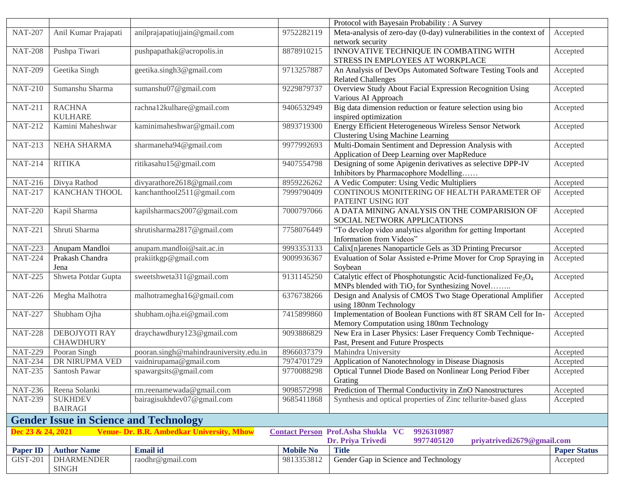|                              |                                               |                                                  |                       | Protocol with Bayesain Probability: A Survey                                           |                     |
|------------------------------|-----------------------------------------------|--------------------------------------------------|-----------------------|----------------------------------------------------------------------------------------|---------------------|
| <b>NAT-207</b>               | Anil Kumar Prajapati                          | anilprajapatiujjain@gmail.com                    | 9752282119            | Meta-analysis of zero-day (0-day) vulnerabilities in the context of                    | Accepted            |
|                              |                                               |                                                  |                       | network security                                                                       |                     |
| <b>NAT-208</b>               | Pushpa Tiwari                                 | pushpapathak@acropolis.in                        | 8878910215            | INNOVATIVE TECHNIQUE IN COMBATING WITH                                                 | Accepted            |
|                              |                                               |                                                  |                       | STRESS IN EMPLOYEES AT WORKPLACE                                                       |                     |
| <b>NAT-209</b>               | Geetika Singh                                 | geetika.singh3@gmail.com                         | 9713257887            | An Analysis of DevOps Automated Software Testing Tools and                             | Accepted            |
|                              |                                               |                                                  |                       | <b>Related Challenges</b>                                                              |                     |
| <b>NAT-210</b>               | Sumanshu Sharma                               | sumanshu07@gmail.com                             | 9229879737            | Overview Study About Facial Expression Recognition Using                               | Accepted            |
|                              |                                               |                                                  |                       | Various AI Approach                                                                    |                     |
| <b>NAT-211</b>               | <b>RACHNA</b>                                 | rachna12kulhare@gmail.com                        | 9406532949            | Big data dimension reduction or feature selection using bio                            | Accepted            |
|                              | <b>KULHARE</b>                                |                                                  |                       | inspired optimization                                                                  |                     |
| <b>NAT-212</b>               | Kamini Maheshwar                              | kaminimaheshwar@gmail.com                        | 9893719300            | Energy Efficient Heterogeneous Wireless Sensor Network                                 | Accepted            |
|                              |                                               |                                                  |                       | Clustering Using Machine Learning                                                      |                     |
| <b>NAT-213</b>               | NEHA SHARMA                                   | sharmaneha94@gmail.com                           | 9977992693            | Multi-Domain Sentiment and Depression Analysis with                                    | Accepted            |
|                              |                                               |                                                  |                       | Application of Deep Learning over MapReduce                                            |                     |
| <b>NAT-214</b>               | <b>RITIKA</b>                                 | ritikasahu15@gmail.com                           | 9407554798            | Designing of some Apigenin derivatives as selective DPP-IV                             | Accepted            |
|                              |                                               |                                                  |                       | Inhibitors by Pharmacophore Modelling                                                  |                     |
| <b>NAT-216</b>               | Divya Rathod                                  | divyarathore2618@gmail.com                       | 8959226262            | A Vedic Computer: Using Vedic Multipliers                                              | Accepted            |
| <b>NAT-217</b>               | <b>KANCHAN THOOL</b>                          | kanchanthool2511@gmail.com                       | 7999790409            | CONTINOUS MONITERING OF HEALTH PARAMETER OF                                            | Accepted            |
|                              |                                               |                                                  |                       | PATEINT USING IOT                                                                      |                     |
| <b>NAT-220</b>               | Kapil Sharma                                  | kapilsharmacs2007@gmail.com                      | 7000797066            | A DATA MINING ANALYSIS ON THE COMPARISION OF                                           | Accepted            |
|                              |                                               |                                                  |                       | SOCIAL NETWORK APPLICATIONS                                                            |                     |
| <b>NAT-221</b>               | Shruti Sharma                                 | shrutisharma2817@gmail.com                       | 7758076449            | "To develop video analytics algorithm for getting Important                            | Accepted            |
|                              |                                               |                                                  |                       | Information from Videos"                                                               |                     |
| <b>NAT-223</b>               | Anupam Mandloi                                | anupam.mandloi@sait.ac.in                        | 9993353133            | Calix[n]arenes Nanoparticle Gels as 3D Printing Precursor                              | Accepted            |
| <b>NAT-224</b>               | Prakash Chandra                               | prakiitkgp@gmail.com                             | 9009936367            | Evaluation of Solar Assisted e-Prime Mover for Crop Spraying in                        | Accepted            |
|                              | Jena                                          |                                                  |                       | Soybean                                                                                |                     |
| <b>NAT-225</b>               | Shweta Potdar Gupta                           | sweetshweta311@gmail.com                         | 9131145250            | Catalytic effect of Phosphotungstic Acid-functionalized Fe <sub>3</sub> O <sub>4</sub> | Accepted            |
|                              |                                               |                                                  |                       | MNPs blended with TiO <sub>2</sub> for Synthesizing Novel                              |                     |
| <b>NAT-226</b>               | Megha Malhotra                                | malhotramegha16@gmail.com                        | 6376738266            | Design and Analysis of CMOS Two Stage Operational Amplifier                            | Accepted            |
|                              |                                               |                                                  |                       | using 180nm Technology                                                                 |                     |
| <b>NAT-227</b>               | Shubham Ojha                                  | shubham.ojha.ei@gmail.com                        | 7415899860            | Implementation of Boolean Functions with 8T SRAM Cell for In-                          | Accepted            |
|                              |                                               |                                                  |                       | Memory Computation using 180nm Technology                                              |                     |
| <b>NAT-228</b>               | <b>DEBOJYOTI RAY</b>                          | draychawdhury123@gmail.com                       | 9093886829            | New Era in Laser Physics: Laser Frequency Comb Technique-                              | Accepted            |
|                              | <b>CHAWDHURY</b>                              |                                                  |                       | Past, Present and Future Prospects                                                     |                     |
| <b>NAT-229</b>               | Pooran Singh                                  | pooran.singh@mahindrauniversity.edu.in           | 8966037379            | Mahindra University                                                                    | Accepted            |
| $\overline{\text{N}}$ AT-234 | DR NIRUPMA VED                                | vaidnirupama@gmail.com                           | 7974701729            | Application of Nanotechnology in Disease Diagnosis                                     | Accepted            |
| <b>NAT-235</b>               | Santosh Pawar                                 | spawargsits@gmail.com                            | 9770088298            | Optical Tunnel Diode Based on Nonlinear Long Period Fiber                              | Accepted            |
|                              |                                               |                                                  |                       | Grating                                                                                |                     |
| <b>NAT-236</b>               | Reena Solanki                                 | rm.reenamewada@gmail.com                         | 9098572998            | Prediction of Thermal Conductivity in ZnO Nanostructures                               | Accepted            |
| <b>NAT-239</b>               | <b>SUKHDEV</b>                                | bairagisukhdev07@gmail.com                       | 9685411868            | Synthesis and optical properties of Zinc tellurite-based glass                         | Accepted            |
|                              | <b>BAIRAGI</b>                                |                                                  |                       |                                                                                        |                     |
|                              | <b>Gender Issue in Science and Technology</b> |                                                  |                       |                                                                                        |                     |
| Dec 23 & 24, 2021            |                                               | <b>Venue- Dr. B.R. Ambedkar University, Mhow</b> | <b>Contact Person</b> | Prof.Asha Shukla VC<br>9926310987                                                      |                     |
|                              |                                               |                                                  |                       | Dr. Priya Trivedi<br>9977405120<br>priyatrivedi2679@gmail.com                          |                     |
| <b>Paper ID</b>              | <b>Author Name</b>                            | <b>Email</b> id                                  | <b>Mobile No</b>      | <b>Title</b>                                                                           | <b>Paper Status</b> |
| <b>GIST-201</b>              | <b>DHARMENDER</b>                             | raodhr@gmail.com                                 | 9813353812            | Gender Gap in Science and Technology                                                   | Accepted            |
|                              | <b>SINGH</b>                                  |                                                  |                       |                                                                                        |                     |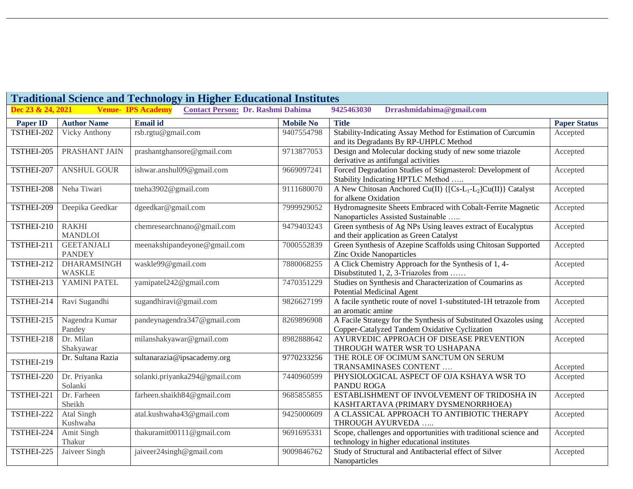| <b>Traditional Science and Technology in Higher Educational Institutes</b> |                                     |                             |                                          |                  |                                                                                                                    |                     |  |
|----------------------------------------------------------------------------|-------------------------------------|-----------------------------|------------------------------------------|------------------|--------------------------------------------------------------------------------------------------------------------|---------------------|--|
| Dec 23 & 24, 2021                                                          |                                     | <b>Venue-IPS Academy</b>    | <b>Contact Person: Dr. Rashmi Dahima</b> |                  | 9425463030<br>Drrashmidahima@gmail.com                                                                             |                     |  |
| <b>Paper ID</b>                                                            | <b>Author Name</b>                  | <b>Email</b> id             |                                          | <b>Mobile No</b> | <b>Title</b>                                                                                                       | <b>Paper Status</b> |  |
| TSTHEI-202                                                                 | Vicky Anthony                       | rsb.rgtu@gmail.com          |                                          | 9407554798       | Stability-Indicating Assay Method for Estimation of Curcumin<br>and its Degradants By RP-UHPLC Method              | Accepted            |  |
| TSTHEI-205                                                                 | PRASHANT JAIN                       |                             | prashantghansore@gmail.com               | 9713877053       | Design and Molecular docking study of new some triazole<br>derivative as antifungal activities                     | Accepted            |  |
| TSTHEI-207                                                                 | <b>ANSHUL GOUR</b>                  | ishwar.anshul09@gmail.com   |                                          | 9669097241       | Forced Degradation Studies of Stigmasterol: Development of<br>Stability Indicating HPTLC Method                    | Accepted            |  |
| TSTHEI-208                                                                 | Neha Tiwari                         | tneha3902@gmail.com         |                                          | 9111680070       | A New Chitosan Anchored Cu(II) {[Cs-L <sub>1</sub> -L <sub>2</sub> ]Cu(II)} Catalyst<br>for alkene Oxidation       | Accepted            |  |
| TSTHEI-209                                                                 | Deepika Geedkar                     | dgeedkar@gmail.com          |                                          | 7999929052       | Hydromagnesite Sheets Embraced with Cobalt-Ferrite Magnetic<br>Nanoparticles Assisted Sustainable                  | Accepted            |  |
| TSTHEI-210                                                                 | <b>RAKHI</b><br><b>MANDLOI</b>      |                             | chemresearchnano@gmail.com               | 9479403243       | Green synthesis of Ag NPs Using leaves extract of Eucalyptus<br>and their application as Green Catalyst            | Accepted            |  |
| TSTHEI-211                                                                 | <b>GEETANJALI</b><br><b>PANDEY</b>  |                             | meenakshipandeyone@gmail.com             | 7000552839       | Green Synthesis of Azepine Scaffolds using Chitosan Supported<br>Zinc Oxide Nanoparticles                          | Accepted            |  |
| TSTHEI-212                                                                 | <b>DHARAMSINGH</b><br><b>WASKLE</b> | waskle99@gmail.com          |                                          | 7880068255       | A Click Chemistry Approach for the Synthesis of 1, 4-<br>Disubstituted 1, 2, 3-Triazoles from                      | Accepted            |  |
| TSTHEI-213                                                                 | YAMINI PATEL                        | yamipatel242@gmail.com      |                                          | 7470351229       | Studies on Synthesis and Characterization of Coumarins as<br><b>Potential Medicinal Agent</b>                      | Accepted            |  |
| TSTHEI-214                                                                 | Ravi Sugandhi                       | sugandhiravi@gmail.com      |                                          | 9826627199       | A facile synthetic route of novel 1-substituted-1H tetrazole from<br>an aromatic amine                             | Accepted            |  |
| TSTHEI-215                                                                 | Nagendra Kumar<br>Pandey            |                             | pandeynagendra347@gmail.com              | 8269896908       | A Facile Strategy for the Synthesis of Substituted Oxazoles using<br>Copper-Catalyzed Tandem Oxidative Cyclization | Accepted            |  |
| TSTHEI-218                                                                 | Dr. Milan<br>Shakyawar              | milanshakyawar@gmail.com    |                                          | 8982888642       | AYURVEDIC APPROACH OF DISEASE PREVENTION<br>THROUGH WATER WSR TO USHAPANA                                          | Accepted            |  |
| TSTHEI-219                                                                 | Dr. Sultana Razia                   | sultanarazia@ipsacademy.org |                                          | 9770233256       | THE ROLE OF OCIMUM SANCTUM ON SERUM<br>TRANSAMINASES CONTENT                                                       | Accepted            |  |
| TSTHEI-220                                                                 | Dr. Priyanka<br>Solanki             |                             | solanki.priyanka294@gmail.com            | 7440960599       | PHYSIOLOGICAL ASPECT OF OJA KSHAYA WSR TO<br>PANDU ROGA                                                            | Accepted            |  |
| TSTHEI-221                                                                 | Dr. Farheen<br>Sheikh               |                             | farheen.shaikh84@gmail.com               | 9685855855       | ESTABLISHMENT OF INVOLVEMENT OF TRIDOSHA IN<br>KASHTARTAVA (PRIMARY DYSMENORRHOEA)                                 | Accepted            |  |
| TSTHEI-222                                                                 | Atal Singh<br>Kushwaha              | atal.kushwaha43@gmail.com   |                                          | 9425000609       | A CLASSICAL APPROACH TO ANTIBIOTIC THERAPY<br>THROUGH AYURVEDA                                                     | Accepted            |  |
| TSTHEI-224                                                                 | Amit Singh<br>Thakur                |                             | thakuramit00111@gmail.com                | 9691695331       | Scope, challenges and opportunities with traditional science and<br>technology in higher educational institutes    | Accepted            |  |
| TSTHEI-225                                                                 | Jaiveer Singh                       | jaiveer24singh@gmail.com    |                                          | 9009846762       | Study of Structural and Antibacterial effect of Silver<br>Nanoparticles                                            | Accepted            |  |